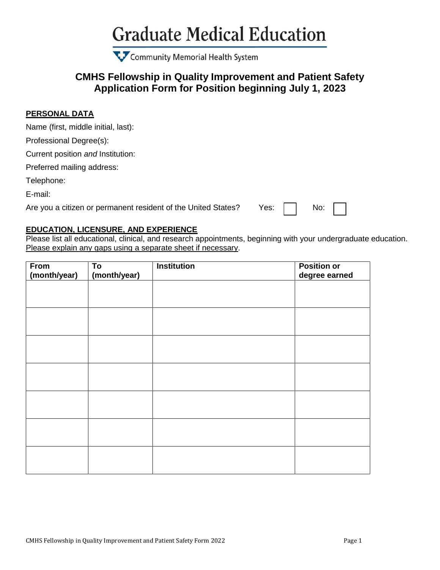## **Graduate Medical Education**

Community Memorial Health System

## **CMHS Fellowship in Quality Improvement and Patient Safety Application Form for Position beginning July 1, 2023**

#### **PERSONAL DATA**

Name (first, middle initial, last):

Professional Degree(s):

Current position *and* Institution:

Preferred mailing address:

Telephone:

E-mail:

Are you a citizen or permanent resident of the United States? Yes:  $\begin{array}{|c|c|} \hline \end{array}$  No:

### **EDUCATION, LICENSURE, AND EXPERIENCE**

Please list all educational, clinical, and research appointments, beginning with your undergraduate education. Please explain any gaps using a separate sheet if necessary.

| From         | To           | <b>Institution</b> | <b>Position</b> or |
|--------------|--------------|--------------------|--------------------|
| (month/year) | (month/year) |                    | degree earned      |
|              |              |                    |                    |
|              |              |                    |                    |
|              |              |                    |                    |
|              |              |                    |                    |
|              |              |                    |                    |
|              |              |                    |                    |
|              |              |                    |                    |
|              |              |                    |                    |
|              |              |                    |                    |
|              |              |                    |                    |
|              |              |                    |                    |
|              |              |                    |                    |
|              |              |                    |                    |
|              |              |                    |                    |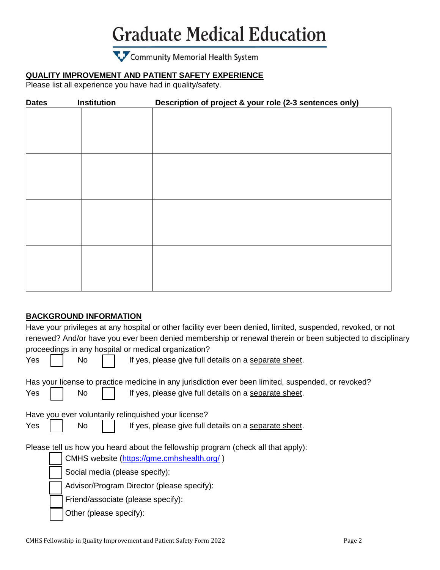## **Graduate Medical Education**

## Community Memorial Health System

## **QUALITY IMPROVEMENT AND PATIENT SAFETY EXPERIENCE**

Please list all experience you have had in quality/safety.

| <b>Dates</b> | <b>Institution</b> | Description of project & your role (2-3 sentences only) |
|--------------|--------------------|---------------------------------------------------------|
|              |                    |                                                         |
|              |                    |                                                         |
|              |                    |                                                         |
|              |                    |                                                         |
|              |                    |                                                         |
|              |                    |                                                         |
|              |                    |                                                         |
|              |                    |                                                         |
|              |                    |                                                         |
|              |                    |                                                         |
|              |                    |                                                         |
|              |                    |                                                         |
|              |                    |                                                         |
|              |                    |                                                         |
|              |                    |                                                         |
|              |                    |                                                         |

### **BACKGROUND INFORMATION**

|                                                                                                     |                                                      |                                            |  | Have your privileges at any hospital or other facility ever been denied, limited, suspended, revoked, or not<br>renewed? And/or have you ever been denied membership or renewal therein or been subjected to disciplinary |  |  |  |
|-----------------------------------------------------------------------------------------------------|------------------------------------------------------|--------------------------------------------|--|---------------------------------------------------------------------------------------------------------------------------------------------------------------------------------------------------------------------------|--|--|--|
|                                                                                                     | proceedings in any hospital or medical organization? |                                            |  |                                                                                                                                                                                                                           |  |  |  |
| Yes                                                                                                 |                                                      | No                                         |  | If yes, please give full details on a separate sheet.                                                                                                                                                                     |  |  |  |
| Has your license to practice medicine in any jurisdiction ever been limited, suspended, or revoked? |                                                      |                                            |  |                                                                                                                                                                                                                           |  |  |  |
| Yes                                                                                                 |                                                      | <b>No</b>                                  |  | If yes, please give full details on a separate sheet.                                                                                                                                                                     |  |  |  |
| Have you ever voluntarily relinguished your license?                                                |                                                      |                                            |  |                                                                                                                                                                                                                           |  |  |  |
| Yes                                                                                                 |                                                      | <b>No</b>                                  |  | If yes, please give full details on a separate sheet.                                                                                                                                                                     |  |  |  |
| Please tell us how you heard about the fellowship program (check all that apply):                   |                                                      |                                            |  |                                                                                                                                                                                                                           |  |  |  |
|                                                                                                     |                                                      |                                            |  | CMHS website (https://gme.cmhshealth.org/)                                                                                                                                                                                |  |  |  |
|                                                                                                     |                                                      | Social media (please specify):             |  |                                                                                                                                                                                                                           |  |  |  |
|                                                                                                     |                                                      | Advisor/Program Director (please specify): |  |                                                                                                                                                                                                                           |  |  |  |
|                                                                                                     |                                                      | Friend/associate (please specify):         |  |                                                                                                                                                                                                                           |  |  |  |
|                                                                                                     |                                                      | Other (please specify):                    |  |                                                                                                                                                                                                                           |  |  |  |